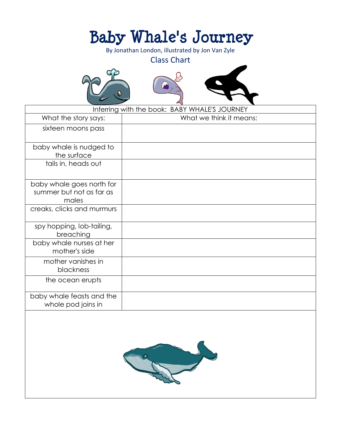# **Baby Whale's Journey**

By Jonathan London, illustrated by Jon Van Zyle

### Class Chart







| Inferring with the book: BABY WHALE'S JOURNEY                  |                         |
|----------------------------------------------------------------|-------------------------|
| What the story says:                                           | What we think it means: |
| sixteen moons pass                                             |                         |
| baby whale is nudged to<br>the surface                         |                         |
| tails in, heads out                                            |                         |
| baby whale goes north for<br>summer but not as far as<br>males |                         |
| creaks, clicks and murmurs                                     |                         |
| spy hopping, lob-tailing,<br>breaching                         |                         |
| baby whale nurses at her<br>mother's side                      |                         |
| mother vanishes in<br>blackness                                |                         |
| the ocean erupts                                               |                         |
| baby whale feasts and the<br>whole pod joins in                |                         |

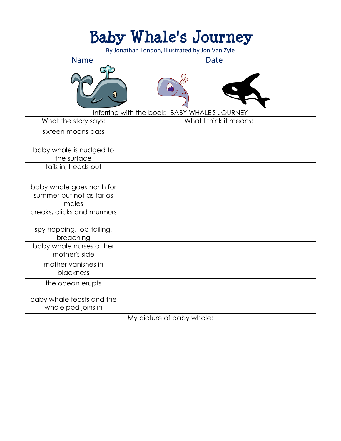# **Baby Whale's Journey**

By Jonathan London, illustrated by Jon Van Zyle

Name\_\_\_\_\_\_\_\_\_\_\_\_\_\_\_\_\_\_\_\_\_\_\_\_ Date \_\_\_\_\_\_\_\_\_\_







|                                                                | Inferring with the book: BABY WHALE'S JOURNEY |
|----------------------------------------------------------------|-----------------------------------------------|
| What the story says:                                           | What I think it means:                        |
| sixteen moons pass                                             |                                               |
| baby whale is nudged to<br>the surface                         |                                               |
| tails in, heads out                                            |                                               |
| baby whale goes north for<br>summer but not as far as<br>males |                                               |
| creaks, clicks and murmurs                                     |                                               |
| spy hopping, lob-tailing,<br>breaching                         |                                               |
| baby whale nurses at her<br>mother's side                      |                                               |
| mother vanishes in<br>blackness                                |                                               |
| the ocean erupts                                               |                                               |
| baby whale feasts and the<br>whole pod joins in                |                                               |
|                                                                | My nicture of baby whale:                     |

My picture of baby whale: